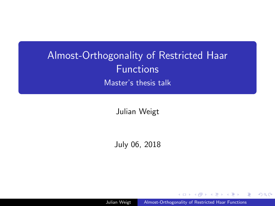# <span id="page-0-0"></span>Almost-Orthogonality of Restricted Haar Functions

Master's thesis talk

Julian Weigt

July 06, 2018

Julian Weigt | [Almost-Orthogonality of Restricted Haar Functions](#page-0-0)

つくへ

ヨメ イヨ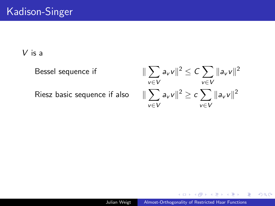V is a

Bessel sequence if k

Riesz basic sequence if also k

 $\sum$ v∈V  $a_{\rm v}$ v $\parallel^2 \ \leq C \sum$ v∈V  $\|a_{v}v\|^2$  $\sum$ v∈V  $a_v v \Vert^2 \geq c \sum$ v∈V  $\|a_{v}v\|^2$ 

 $2990$ 

∍

医单位 医单位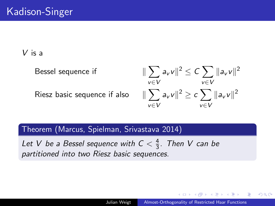V is a

Bessel sequence if k

Riesz basic sequence if also k

 $\sum$ v∈V  $a_{\rm v}$ v $\parallel^2 \ \leq C \sum$ v∈V  $\|a_{v}v\|^2$  $\sum$ v∈V  $a_v v \Vert^2 \geq c \sum$ v∈V  $\|a_{v}v\|^2$ 

Theorem (Marcus, Spielman, Srivastava 2014)

Let V be a Bessel sequence with  $C < \frac{4}{3}$  $\frac{4}{3}$ . Then V can be partitioned into two Riesz basic sequences.

**何 ト ィヨ ト ィヨ ト**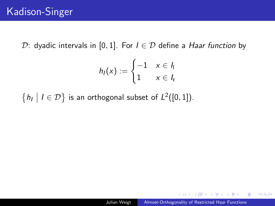D: dyadic intervals in [0, 1]. For  $I \in \mathcal{D}$  define a *Haar function* by

$$
h_I(x) := \begin{cases} -1 & x \in I_I \\ 1 & x \in I_r \end{cases}
$$

 $\{h_l | l \in \mathcal{D}\}$  is an orthogonal subset of  $L^2([0,1])$ .

 $2990$ 

э

化重复化重复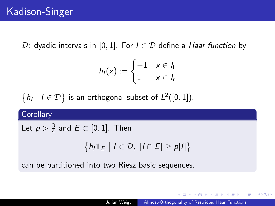D: dyadic intervals in [0, 1]. For  $I \in \mathcal{D}$  define a *Haar function* by

$$
h_I(x) := \begin{cases} -1 & x \in I_I \\ 1 & x \in I_r \end{cases}
$$

 $\{h_l | l \in \mathcal{D}\}$  is an orthogonal subset of  $L^2([0,1])$ .

**Corollary** 

Let  $p>\frac{3}{4}$  $\frac{3}{4}$  and  $E \subset [0,1]$ . Then

$$
\left\{h_I \mathbb{1}_E \middle| I \in \mathcal{D}, \ |I \cap E| \geq p|I|\right\}
$$

can be partitioned into two Riesz basic sequences.

**何 ト ィヨ ト ィヨ ト** 

 $QQ$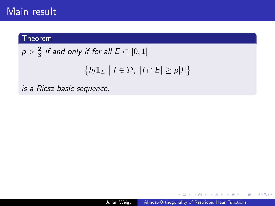## Main result

#### Theorem

 $p > \frac{2}{3}$  $\frac{2}{3}$  if and only if for all  $E \subset [0,1]$  $\left\{h_l \mathbb{1}_E \mid l \in \mathcal{D}, \ |l \cap E| \geq p|l|\right\}$ 

is a Riesz basic sequence.

**何 ト ィヨ ト ィヨ ト** 

E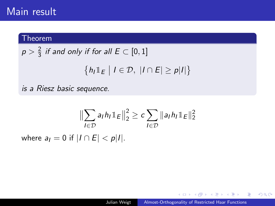## Main result

### Theorem

$$
p > \frac{2}{3} \text{ if and only if for all } E \subset [0,1]
$$

$$
\{h_I \mathbb{1}_E \mid I \in \mathcal{D}, \ |I \cap E| \ge p|I|\}
$$

is a Riesz basic sequence.

$$
\|\sum_{I\in\mathcal{D}} a_I h_I \mathbb{1}_E\|_2^2 \ge c \sum_{I\in\mathcal{D}} \|a_I h_I \mathbb{1}_E\|_2^2
$$
  
where  $a_I = 0$  if  $|I \cap E| < p|I|$ .

メロメメ 御 メメ きょく モドー

目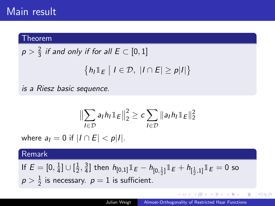## Main result

#### Theorem

$$
p > \frac{2}{3} \text{ if and only if for all } E \subset [0,1]
$$

$$
\{h_I \mathbb{1}_E \mid I \in \mathcal{D}, \ |I \cap E| \ge p|I|
$$

is a Riesz basic sequence.

$$
\left\|\sum_{l\in\mathcal{D}}a_lh_l\mathbb{1}_E\right\|_2^2\geq c\sum_{l\in\mathcal{D}}\|a_lh_l\mathbb{1}_E\|_2^2
$$

where  $a_1 = 0$  if  $|I \cap E| < p|I|$ .

### Remark

If  $E = [0, \frac{1}{4}]$  $\frac{1}{4}] \cup [\frac{1}{2}]$  $\frac{1}{2}, \frac{3}{4}$  $\frac{3}{4}$ ] then  $h_{[0,1]}1\!\!1_E - h_{[0,\frac{1}{2}]}1\!\!1_E + h_{[\frac{1}{2},1]}1\!\!1_E = 0$  so  $p>\frac{1}{2}$  $\frac{1}{2}$  is necessary.  $p=1$  is sufficient.

(ロ) (個) (目) (美) (目)

 $\Rightarrow$ 

 $2990$ 

 $\left\{ \right\}$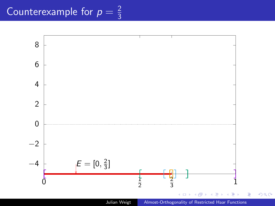

Julian Weigt | [Almost-Orthogonality of Restricted Haar Functions](#page-0-0)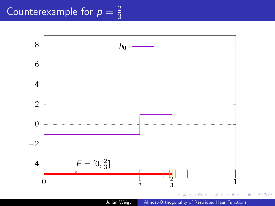

Julian Weigt | [Almost-Orthogonality of Restricted Haar Functions](#page-0-0)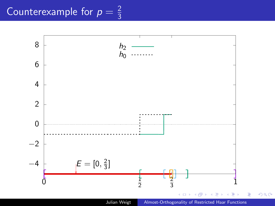

Julian Weigt | [Almost-Orthogonality of Restricted Haar Functions](#page-0-0)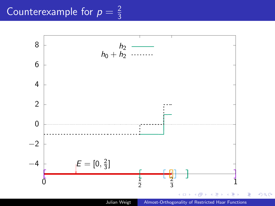

Julian Weigt | [Almost-Orthogonality of Restricted Haar Functions](#page-0-0)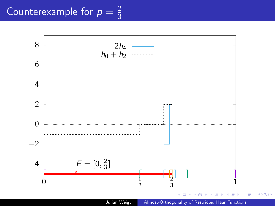

Julian Weigt | [Almost-Orthogonality of Restricted Haar Functions](#page-0-0)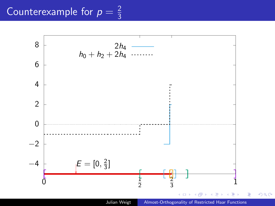

Julian Weigt | [Almost-Orthogonality of Restricted Haar Functions](#page-0-0)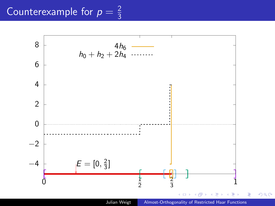

Julian Weigt | [Almost-Orthogonality of Restricted Haar Functions](#page-0-0)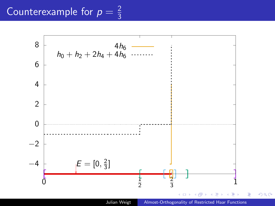

Julian Weigt | [Almost-Orthogonality of Restricted Haar Functions](#page-0-0)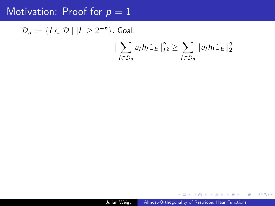## Motivation: Proof for  $p = 1$

 $\mathcal{D}_n := \{I \in \mathcal{D} \mid |I| \geq 2^{-n}\}.$  Goal:

$$
\|\sum_{l\in\mathcal{D}_n} a_l h_l \mathbb{1}_E\|_{L^2}^2 \geq \sum_{l\in\mathcal{D}_n} \|a_l h_l \mathbb{1}_E\|_2^2
$$

Julian Weigt | [Almost-Orthogonality of Restricted Haar Functions](#page-0-0)

4日)

モニーマ ヨ メモン マ 帰り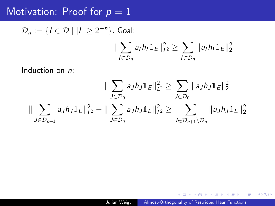## Motivation: Proof for  $p = 1$

$$
\mathcal{D}_n := \{ I \in \mathcal{D} \mid |I| \ge 2^{-n} \}. \text{ Goal:}
$$
  

$$
\|\sum_{I \in \mathcal{D}_n} a_I h_I \mathbb{1}_E \|^2_{L^2} \ge \sum_{I \in \mathcal{D}_n} \|a_I h_I \mathbb{1}_E \|^2_2
$$

Induction on n:

$$
\|\sum_{J\in\mathcal{D}_0} a_J h_J \mathbb{1}_E\|_{L^2}^2 \ge \sum_{J\in\mathcal{D}_0} \|a_J h_J \mathbb{1}_E\|_2^2
$$
  

$$
\|\sum_{J\in\mathcal{D}_{n+1}} a_J h_J \mathbb{1}_E\|_{L^2}^2 - \|\sum_{J\in\mathcal{D}_n} a_J h_J \mathbb{1}_E\|_{L^2}^2 \ge \sum_{J\in\mathcal{D}_{n+1}\setminus\mathcal{D}_n} \|a_J h_J \mathbb{1}_E\|_2^2
$$

**K ロ ▶ K 御 ▶ K 君 ▶ K 君 ▶** 

目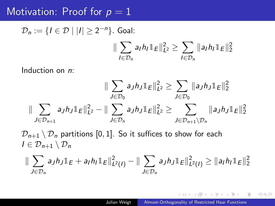## Motivation: Proof for  $p = 1$

$$
\mathcal{D}_n := \{ I \in \mathcal{D} \mid |I| \ge 2^{-n} \}. \text{ Goal:} \\
\|\sum_{I \in \mathcal{D}_n} a_I h_I \mathbb{1}_E \|^2_{L^2} \ge \sum_{I \in \mathcal{D}_n} \|a_I h_I \mathbb{1}_E \|^2_2
$$

Induction on n:

$$
\|\sum_{J\in\mathcal{D}_0} a_J h_J \mathbb{1}_E\|_{L^2}^2 \ge \sum_{J\in\mathcal{D}_0} \|a_J h_J \mathbb{1}_E\|_2^2
$$
  

$$
\|\sum_{J\in\mathcal{D}_{n+1}} a_J h_J \mathbb{1}_E\|_{L^2}^2 - \|\sum_{J\in\mathcal{D}_n} a_J h_J \mathbb{1}_E\|_{L^2}^2 \ge \sum_{J\in\mathcal{D}_{n+1}\setminus\mathcal{D}_n} \|a_J h_J \mathbb{1}_E\|_2^2
$$

 $\mathcal{D}_{n+1} \setminus \mathcal{D}_n$  partitions [0, 1]. So it suffices to show for each  $I \in \mathcal{D}_{n+1} \setminus \mathcal{D}_n$ 

$$
\|\sum_{J\in\mathcal{D}_n} a_J h_J \mathbb{1}_E + a_I h_I \mathbb{1}_E \|^2_{L^2(I)} - \|\sum_{J\in\mathcal{D}_n} a_J h_J \mathbb{1}_E \|^2_{L^2(I)} \geq \|a_I h_I \mathbb{1}_E \|^2_2
$$

E

御 ▶ イヨ ▶ イヨ ▶ │

 $QQ$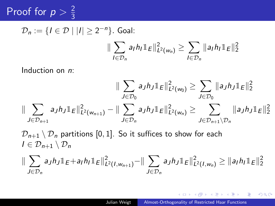#### Proof for  $p > \frac{2}{3}$ 3

$$
\mathcal{D}_n := \{ I \in \mathcal{D} \mid |I| \ge 2^{-n} \}. \text{ Goal:} \\
\|\sum_{I \in \mathcal{D}_n} a_I h_I \mathbb{1}_E \|^2_{L^2(w_n)} \ge \sum_{I \in \mathcal{D}_n} \|a_I h_I \mathbb{1}_E \|^2_2
$$

Induction on n:

$$
\|\sum_{J\in\mathcal{D}_0} a_J h_J \mathbb{1}_E\|_{L^2(w_0)}^2 \ge \sum_{J\in\mathcal{D}_0} \|a_J h_J \mathbb{1}_E\|_2^2
$$
  

$$
\|\sum_{J\in\mathcal{D}_{n+1}} a_J h_J \mathbb{1}_E\|_{L^2(w_{n+1})}^2 - \|\sum_{J\in\mathcal{D}_n} a_J h_J \mathbb{1}_E\|_{L^2(w_n)}^2 \ge \sum_{J\in\mathcal{D}_{n+1}\setminus\mathcal{D}_n} \|a_J h_J \mathbb{1}_E\|_2^2
$$

 $\mathcal{D}_{n+1} \setminus \mathcal{D}_n$  partitions [0, 1]. So it suffices to show for each  $I \in \mathcal{D}_{n+1} \setminus \mathcal{D}_n$ 

$$
\|\sum_{J\in\mathcal{D}_n}a_Jh_J\mathbb{1}_E+a_Ih_I\mathbb{1}_E\|^2_{L^2(I,w_{n+1})}-\|\sum_{J\in\mathcal{D}_n}a_Jh_J\mathbb{1}_E\|^2_{L^2(I,w_n)}\geq\|a_Ih_I\mathbb{1}_E\|^2_2
$$

伺 ▶ イヨ ▶ イヨ ▶ │

 $\equiv$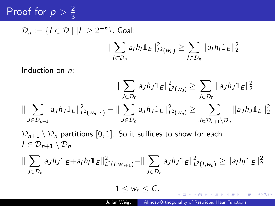#### Proof for  $p > \frac{2}{3}$ 3

$$
\mathcal{D}_n := \{ I \in \mathcal{D} \mid |I| \ge 2^{-n} \}. \text{ Goal:} \\
\|\sum_{I \in \mathcal{D}_n} a_I h_I \mathbb{1}_E \|^2_{L^2(w_n)} \ge \sum_{I \in \mathcal{D}_n} \|a_I h_I \mathbb{1}_E \|^2_2
$$

Induction on n:

$$
\|\sum_{J\in\mathcal{D}_0} a_J h_J \mathbb{1}_E\|_{L^2(w_0)}^2 \ge \sum_{J\in\mathcal{D}_0} \|a_J h_J \mathbb{1}_E\|_2^2
$$
  

$$
\|\sum_{J\in\mathcal{D}_{n+1}} a_J h_J \mathbb{1}_E\|_{L^2(w_{n+1})}^2 - \|\sum_{J\in\mathcal{D}_n} a_J h_J \mathbb{1}_E\|_{L^2(w_n)}^2 \ge \sum_{J\in\mathcal{D}_{n+1}\setminus\mathcal{D}_n} \|a_J h_J \mathbb{1}_E\|_2^2
$$

 $\mathcal{D}_{n+1} \setminus \mathcal{D}_n$  partitions [0, 1]. So it suffices to show for each  $I \in \mathcal{D}_{n+1} \setminus \mathcal{D}_n$ 

$$
\|\sum_{J\in\mathcal{D}_n}a_Jh_J\mathbb{1}_E+a_Ih_I\mathbb{1}_E\|^2_{L^2(I,w_{n+1})}-\|\sum_{J\in\mathcal{D}_n}a_Jh_J\mathbb{1}_E\|^2_{L^2(I,w_n)}\geq\|a_Ih_I\mathbb{1}_E\|^2_2
$$

 $1 \leq w_n \leq C$ .

 $\left\{ \begin{array}{ccc} 1 & 0 & 0 \\ 0 & 1 & 0 \end{array} \right.$  ,  $\left\{ \begin{array}{ccc} \frac{1}{2} & 0 & 0 \\ 0 & 0 & 0 \end{array} \right.$ 

 $QQ$ 

э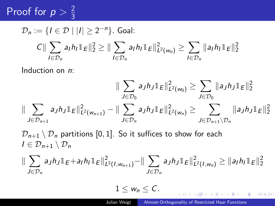#### Proof for  $p > \frac{2}{3}$ 3

$$
\mathcal{D}_n := \{ I \in \mathcal{D} \mid |I| \ge 2^{-n} \}. \text{ Goal:}
$$
\n
$$
C \|\sum_{I \in \mathcal{D}_n} a_I h_I \mathbb{1}_E \|_2^2 \ge \|\sum_{I \in \mathcal{D}_n} a_I h_I \mathbb{1}_E \|_{L^2(w_n)}^2 \ge \sum_{I \in \mathcal{D}_n} \|a_I h_I \mathbb{1}_E \|_2^2
$$

Induction on n:

$$
\|\sum_{J\in\mathcal{D}_0} a_J h_J \mathbb{1}_E\|_{L^2(w_0)}^2 \ge \sum_{J\in\mathcal{D}_0} \|a_J h_J \mathbb{1}_E\|_2^2
$$
  

$$
\|\sum_{J\in\mathcal{D}_{n+1}} a_J h_J \mathbb{1}_E\|_{L^2(w_{n+1})}^2 - \|\sum_{J\in\mathcal{D}_n} a_J h_J \mathbb{1}_E\|_{L^2(w_n)}^2 \ge \sum_{J\in\mathcal{D}_{n+1}\setminus\mathcal{D}_n} \|a_J h_J \mathbb{1}_E\|_2^2
$$

 $\mathcal{D}_{n+1} \setminus \mathcal{D}_n$  partitions [0, 1]. So it suffices to show for each  $I \in \mathcal{D}_{n+1} \setminus \mathcal{D}_n$ 

$$
\|\sum_{J\in\mathcal{D}_n}a_Jh_J\mathbb{1}_E+a_Ih_I\mathbb{1}_E\|^2_{L^2(I,w_{n+1})}-\|\sum_{J\in\mathcal{D}_n}a_Jh_J\mathbb{1}_E\|^2_{L^2(I,w_n)}\geq\|a_Ih_I\mathbb{1}_E\|^2_2
$$

 $1 \leq w_n \leq C$ .

イロト イ押 トイヨ トイヨト

 $QQ$ 

э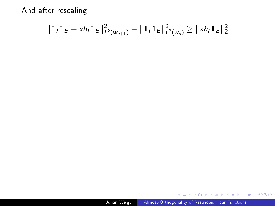$$
\|\mathbb{1}_I\mathbb{1}_E + xh_I \mathbb{1}_E\|_{L^2(w_{n+1})}^2 - \|\mathbb{1}_I\mathbb{1}_E\|_{L^2(w_n)}^2 \geq \|xh_I \mathbb{1}_E\|_2^2
$$

**K ロ ▶ K 御 ▶ K 君 ▶ K 君 ▶** 

重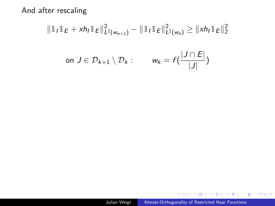$$
\|\mathbb{1}_{I}\mathbb{1}_{E} + xh_{I}\mathbb{1}_{E}\|_{L^{2}(w_{n+1})}^{2} - \|\mathbb{1}_{I}\mathbb{1}_{E}\|_{L^{2}(w_{n})}^{2} \geq \|xh_{I}\mathbb{1}_{E}\|_{2}^{2}
$$
  
on  $J \in \mathcal{D}_{k+1} \setminus \mathcal{D}_{k}: \qquad w_{k} = f\left(\frac{|J \cap E|}{|J|}\right)$ 

メロメメ 御 メメ きょく ミメー

活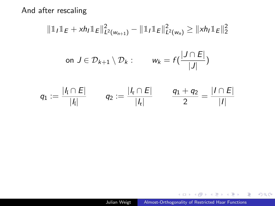$$
||1\!\!1_{I}1_{E} + xh_{I}1_{E}||_{L^{2}(w_{n+1})}^{2} - ||1\!\!1_{I}1_{E}||_{L^{2}(w_{n})}^{2} \geq ||xh_{I}1_{E}||_{2}^{2}
$$
  
on  $J \in \mathcal{D}_{k+1} \setminus \mathcal{D}_{k}$ :  $w_{k} = f\left(\frac{|J \cap E|}{|J|}\right)$   
 $q_{1} := \frac{|I_{I} \cap E|}{|I_{I}|}$   $q_{2} := \frac{|I_{k} \cap E|}{|I_{k}|}$   $\frac{q_{1} + q_{2}}{2} = \frac{|I \cap E|}{|I|}$ 

メロメメ 御 メメ きょく モドー

重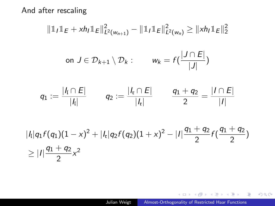$$
\|\mathbb{1}_{I}\mathbb{1}_{E} + xh_{I}\mathbb{1}_{E}\|_{L^{2}(w_{n+1})}^{2} - \|\mathbb{1}_{I}\mathbb{1}_{E}\|_{L^{2}(w_{n})}^{2} \geq \|xh_{I}\mathbb{1}_{E}\|_{2}^{2}
$$
  
on  $J \in \mathcal{D}_{k+1} \setminus \mathcal{D}_{k}: \qquad w_{k} = f\left(\frac{|J \cap E|}{|J|}\right)$   
 $q_{1} := \frac{|I_{1} \cap E|}{|I_{1}|} \qquad q_{2} := \frac{|I_{k} \cap E|}{|I_{k}|} \qquad \frac{q_{1} + q_{2}}{2} = \frac{|I \cap E|}{|I|}$   
 $\lim_{k \to 1} f(q_{k}) (1-x)^{2} + |I| q_{2} f(q_{2}) (1+x)^{2} = |I| \frac{q_{1} + q_{2}}{2} f\left(\frac{q_{1} + q_{2}}{2}\right)$ 

$$
|h|q_1f(q_1)(1-x)^2 + |h|q_2f(q_2)(1+x)^2 - |I|\frac{q_1+q_2}{2}f(\frac{q_1+q_2}{2})
$$
  
\n
$$
\geq |I|\frac{q_1+q_2}{2}x^2
$$

**K ロ ▶ K 御 ▶ K 君 ▶ K 君 ▶** 

重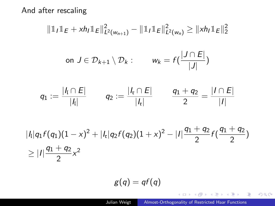$$
\|\mathbb{1}_{I}\mathbb{1}_{E} + xh_{I}\mathbb{1}_{E}\|_{L^{2}(w_{n+1})}^{2} - \|\mathbb{1}_{I}\mathbb{1}_{E}\|_{L^{2}(w_{n})}^{2} \geq \|xh_{I}\mathbb{1}_{E}\|_{2}^{2}
$$
  
on  $J \in \mathcal{D}_{k+1} \setminus \mathcal{D}_{k}: \qquad w_{k} = f\left(\frac{|J \cap E|}{|J|}\right)$   
 $q_{1} := \frac{|I_{1} \cap E|}{|I_{1}|} \qquad q_{2} := \frac{|I_{\mathfrak{r}} \cap E|}{|I_{\mathfrak{r}}|} \qquad \frac{q_{1} + q_{2}}{2} = \frac{|I \cap E|}{|I|}$   
 $q_{1}f(q_{1})(1-x)^{2} + |L|q_{2}f(q_{2})(1+x)^{2} - |I|\frac{q_{1} + q_{2}}{2}f\left(\frac{q_{1} + q_{2}}{2}\right)$ 

$$
|h|q_1f(q_1)(1-x)^2 + |h|q_2f(q_2)(1+x)^2 - |I|\frac{q_1+q_2}{2}f(\frac{q_1+q_2}{2})
$$
  
\n
$$
\geq |I|\frac{q_1+q_2}{2}x^2
$$

$$
g(q)=qf(q)
$$

**K ロ ▶ K 御 ▶ K 君 ▶ K 君 ▶** 

重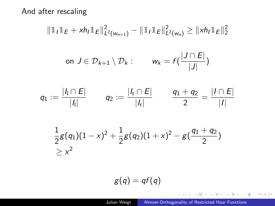$$
\|\mathbb{1}_{I}\mathbb{1}_{E} + xh_{I}\mathbb{1}_{E}\|_{L^{2}(w_{n+1})}^{2} - \|\mathbb{1}_{I}\mathbb{1}_{E}\|_{L^{2}(w_{n})}^{2} \geq \|xh_{I}\mathbb{1}_{E}\|_{2}^{2}
$$
  
on  $J \in \mathcal{D}_{k+1} \setminus \mathcal{D}_{k}: \qquad w_{k} = f\left(\frac{|J \cap E|}{|J|}\right)$ 

$$
q_1 := \frac{|l_1 \cap E|}{|l_1|} \qquad q_2 := \frac{|l_1 \cap E|}{|l_1|} \qquad \frac{q_1 + q_2}{2} = \frac{|I \cap E|}{|I|}
$$

$$
\frac{1}{2}g(q_1)(1-x)^2+\frac{1}{2}g(q_2)(1+x)^2-g(\frac{q_1+q_2}{2})\geq x^2
$$

$$
g(q)=qf(q)
$$

メロメメ 御 メメ きょく モドー

高。  $2990$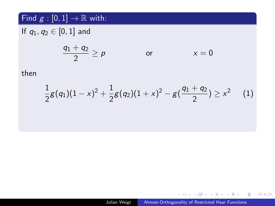### Find  $g : [0,1] \rightarrow \mathbb{R}$  with:

If  $q_1, q_2 \in [0, 1]$  and

$$
\frac{q_1+q_2}{2}\geq p \hspace{1cm} \text{or} \hspace{1cm} x=0
$$

then

<span id="page-28-1"></span><span id="page-28-0"></span>
$$
\frac{1}{2}g(q_1)(1-x)^2+\frac{1}{2}g(q_2)(1+x)^2-g(\frac{q_1+q_2}{2})\geq x^2\quad \ \ (1)
$$

K ロ ト K 御 ト K 産 ト K 差 ト ニ 差 …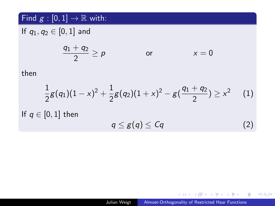### Find  $g : [0,1] \rightarrow \mathbb{R}$  with:

If  $q_1, q_2 \in [0, 1]$  and

$$
\frac{q_1+q_2}{2}\geq p \qquad \qquad \text{or} \qquad \qquad x=0
$$

then

$$
\frac{1}{2}g(q_1)(1-x)^2+\frac{1}{2}g(q_2)(1+x)^2-g(\frac{q_1+q_2}{2})\geq x^2\qquad (1)
$$

If  $q \in [0,1]$  then

$$
q \leq g(q) \leq Cq \tag{2}
$$

メロトメ 御 トメ 君 トメ 君 トッ 君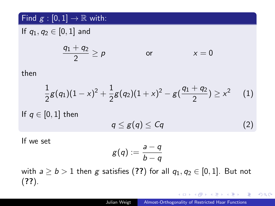### Find  $g : [0,1] \rightarrow \mathbb{R}$  with:

If  $q_1, q_2 \in [0, 1]$  and

$$
\frac{q_1+q_2}{2}\geq p \qquad \qquad \text{or} \qquad \qquad x=0
$$

then

$$
\frac{1}{2}g(q_1)(1-x)^2+\frac{1}{2}g(q_2)(1+x)^2-g(\frac{q_1+q_2}{2})\geq x^2\quad \ \ (1)
$$

If  $q \in [0,1]$  then

$$
q \leq g(q) \leq Cq \tag{2}
$$

If we set

$$
g(q):=\frac{a-q}{b-q}
$$

with  $a \ge b > 1$  then g satisfies ([??](#page-28-0)) for all  $q_1, q_2 \in [0, 1]$ . But not ([??](#page-28-1)).

スタンスミンスミング ミ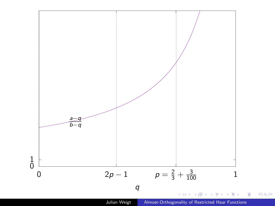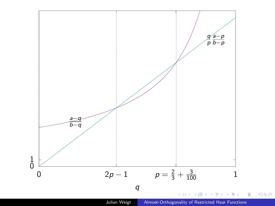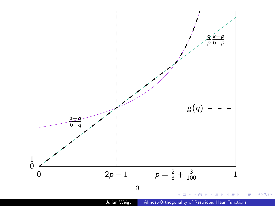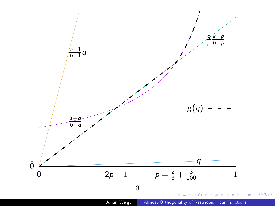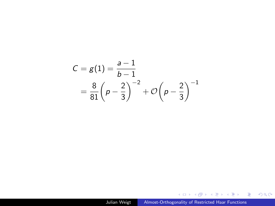$$
C = g(1) = \frac{a-1}{b-1}
$$
  
=  $\frac{8}{81} \left( p - \frac{2}{3} \right)^{-2} + \mathcal{O} \left( p - \frac{2}{3} \right)^{-1}$ 

Julian Weigt | [Almost-Orthogonality of Restricted Haar Functions](#page-0-0)

K ロ K イロ K K ミ K X ミ K X X Y Y Q Q C